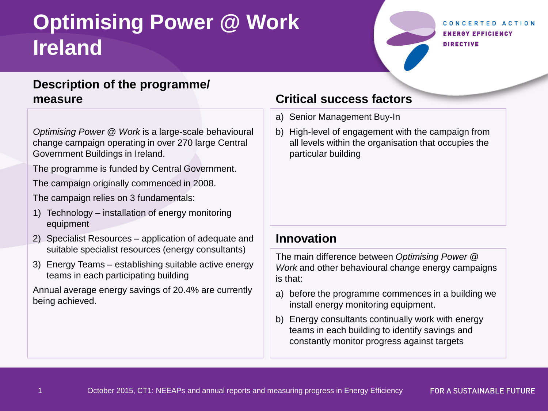# **Optimising Power @ Work Ireland**

CONCERTED ACTION **ENERGY EFFICIENCY DIRECTIVE** 

## **Description of the programme/ measure**

*Optimising Power @ Work* is a large-scale behavioural change campaign operating in over 270 large Central Government Buildings in Ireland.

The programme is funded by Central Government.

The campaign originally commenced in 2008.

The campaign relies on 3 fundamentals:

- 1) Technology installation of energy monitoring equipment
- 2) Specialist Resources application of adequate and suitable specialist resources (energy consultants)
- 3) Energy Teams establishing suitable active energy teams in each participating building

Annual average energy savings of 20.4% are currently being achieved.

## **Critical success factors**

- a) Senior Management Buy-In
- b) High-level of engagement with the campaign from all levels within the organisation that occupies the particular building

## **Innovation**

The main difference between *Optimising Power @ Work* and other behavioural change energy campaigns is that:

- a) before the programme commences in a building we install energy monitoring equipment.
- b) Energy consultants continually work with energy teams in each building to identify savings and constantly monitor progress against targets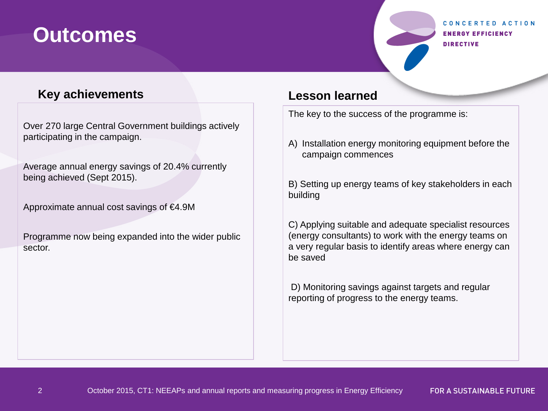# **Outcomes**

#### CONCERTED ACTION **ENERGY EFFICIENCY DIRECTIVE**

### **Key achievements**

Over 270 large Central Government buildings actively participating in the campaign.

Average annual energy savings of 20.4% currently being achieved (Sept 2015).

Approximate annual cost savings of €4.9M

2

Programme now being expanded into the wider public sector.

### **Lesson learned**

The key to the success of the programme is:

A) Installation energy monitoring equipment before the campaign commences

B) Setting up energy teams of key stakeholders in each building

C) Applying suitable and adequate specialist resources (energy consultants) to work with the energy teams on a very regular basis to identify areas where energy can be saved

D) Monitoring savings against targets and regular reporting of progress to the energy teams.

**FOR A SUSTAINABLE FUTURE**